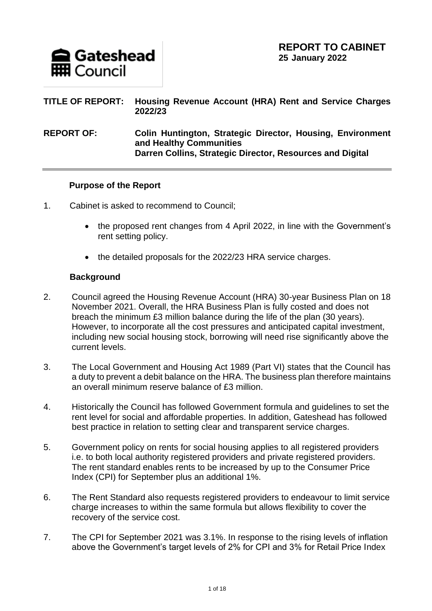

**TITLE OF REPORT: Housing Revenue Account (HRA) Rent and Service Charges 2022/23**

**REPORT OF: Colin Huntington, Strategic Director, Housing, Environment and Healthy Communities Darren Collins, Strategic Director, Resources and Digital**

#### **Purpose of the Report**

- 1. Cabinet is asked to recommend to Council;
	- the proposed rent changes from 4 April 2022, in line with the Government's rent setting policy.
	- the detailed proposals for the 2022/23 HRA service charges.

#### **Background**

- 2. Council agreed the Housing Revenue Account (HRA) 30-year Business Plan on 18 November 2021. Overall, the HRA Business Plan is fully costed and does not breach the minimum £3 million balance during the life of the plan (30 years). However, to incorporate all the cost pressures and anticipated capital investment, including new social housing stock, borrowing will need rise significantly above the current levels.
- 3. The Local Government and Housing Act 1989 (Part VI) states that the Council has a duty to prevent a debit balance on the HRA. The business plan therefore maintains an overall minimum reserve balance of £3 million.
- 4. Historically the Council has followed Government formula and guidelines to set the rent level for social and affordable properties. In addition, Gateshead has followed best practice in relation to setting clear and transparent service charges.
- 5. Government policy on rents for social housing applies to all registered providers i.e. to both local authority registered providers and private registered providers. The rent standard enables rents to be increased by up to the Consumer Price Index (CPI) for September plus an additional 1%.
- 6. The Rent Standard also requests registered providers to endeavour to limit service charge increases to within the same formula but allows flexibility to cover the recovery of the service cost.
- 7. The CPI for September 2021 was 3.1%. In response to the rising levels of inflation above the Government's target levels of 2% for CPI and 3% for Retail Price Index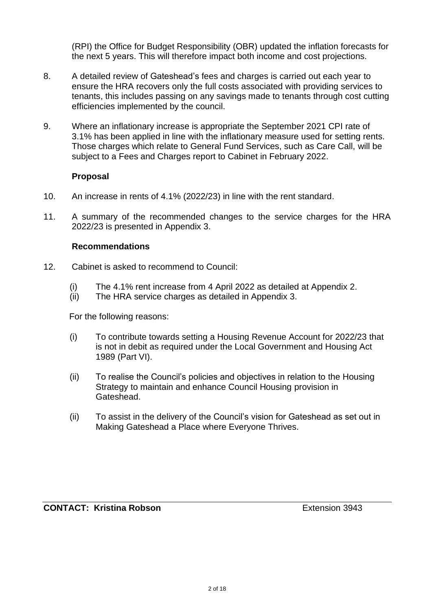(RPI) the Office for Budget Responsibility (OBR) updated the inflation forecasts for the next 5 years. This will therefore impact both income and cost projections.

- 8. A detailed review of Gateshead's fees and charges is carried out each year to ensure the HRA recovers only the full costs associated with providing services to tenants, this includes passing on any savings made to tenants through cost cutting efficiencies implemented by the council.
- 9. Where an inflationary increase is appropriate the September 2021 CPI rate of 3.1% has been applied in line with the inflationary measure used for setting rents. Those charges which relate to General Fund Services, such as Care Call, will be subject to a Fees and Charges report to Cabinet in February 2022.

# **Proposal**

- 10. An increase in rents of 4.1% (2022/23) in line with the rent standard.
- 11. A summary of the recommended changes to the service charges for the HRA 2022/23 is presented in Appendix 3.

### **Recommendations**

- 12. Cabinet is asked to recommend to Council:
	- (i) The 4.1% rent increase from 4 April 2022 as detailed at Appendix 2.
	- (ii) The HRA service charges as detailed in Appendix 3.

For the following reasons:

- (i) To contribute towards setting a Housing Revenue Account for 2022/23 that is not in debit as required under the Local Government and Housing Act 1989 (Part VI).
- (ii) To realise the Council's policies and objectives in relation to the Housing Strategy to maintain and enhance Council Housing provision in Gateshead.
- (ii) To assist in the delivery of the Council's vision for Gateshead as set out in Making Gateshead a Place where Everyone Thrives.

### **CONTACT: Kristina Robson** Extension 3943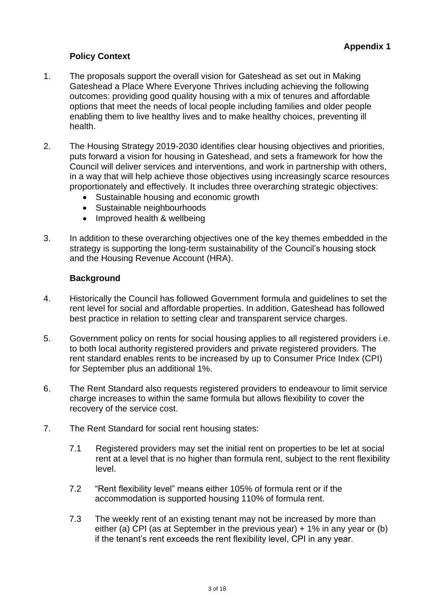# **Policy Context**

- 1. The proposals support the overall vision for Gateshead as set out in Making Gateshead a Place Where Everyone Thrives including achieving the following outcomes: providing good quality housing with a mix of tenures and affordable options that meet the needs of local people including families and older people enabling them to live healthy lives and to make healthy choices, preventing ill health.
- 2. The Housing Strategy 2019-2030 identifies clear housing objectives and priorities, puts forward a vision for housing in Gateshead, and sets a framework for how the Council will deliver services and interventions, and work in partnership with others, in a way that will help achieve those objectives using increasingly scarce resources proportionately and effectively. It includes three overarching strategic objectives:
	- Sustainable housing and economic growth
	- Sustainable neighbourhoods
	- Improved health & wellbeing
- 3. In addition to these overarching objectives one of the key themes embedded in the strategy is supporting the long-term sustainability of the Council's housing stock and the Housing Revenue Account (HRA).

### **Background**

- 4. Historically the Council has followed Government formula and guidelines to set the rent level for social and affordable properties. In addition, Gateshead has followed best practice in relation to setting clear and transparent service charges.
- 5. Government policy on rents for social housing applies to all registered providers i.e. to both local authority registered providers and private registered providers. The rent standard enables rents to be increased by up to Consumer Price Index (CPI) for September plus an additional 1%.
- 6. The Rent Standard also requests registered providers to endeavour to limit service charge increases to within the same formula but allows flexibility to cover the recovery of the service cost.
- 7. The Rent Standard for social rent housing states:
	- 7.1 Registered providers may set the initial rent on properties to be let at social rent at a level that is no higher than formula rent, subject to the rent flexibility level.
	- 7.2 "Rent flexibility level" means either 105% of formula rent or if the accommodation is supported housing 110% of formula rent.
	- 7.3 The weekly rent of an existing tenant may not be increased by more than either (a) CPI (as at September in the previous year) + 1% in any year or (b) if the tenant's rent exceeds the rent flexibility level, CPI in any year.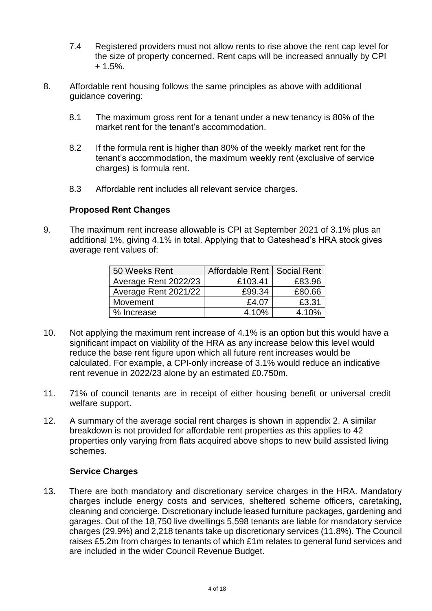- 7.4 Registered providers must not allow rents to rise above the rent cap level for the size of property concerned. Rent caps will be increased annually by CPI  $+ 1.5%$ .
- 8. Affordable rent housing follows the same principles as above with additional guidance covering:
	- 8.1 The maximum gross rent for a tenant under a new tenancy is 80% of the market rent for the tenant's accommodation.
	- 8.2 If the formula rent is higher than 80% of the weekly market rent for the tenant's accommodation, the maximum weekly rent (exclusive of service charges) is formula rent.
	- 8.3 Affordable rent includes all relevant service charges.

#### **Proposed Rent Changes**

9. The maximum rent increase allowable is CPI at September 2021 of 3.1% plus an additional 1%, giving 4.1% in total. Applying that to Gateshead's HRA stock gives average rent values of:

| 50 Weeks Rent        | Affordable Rent   Social Rent |        |
|----------------------|-------------------------------|--------|
| Average Rent 2022/23 | £103.41                       | £83.96 |
| Average Rent 2021/22 | £99.34                        | £80.66 |
| Movement             | £4.07                         | £3.31  |
| % Increase           | 4.10%                         | 4.10%  |

- 10. Not applying the maximum rent increase of 4.1% is an option but this would have a significant impact on viability of the HRA as any increase below this level would reduce the base rent figure upon which all future rent increases would be calculated. For example, a CPI-only increase of 3.1% would reduce an indicative rent revenue in 2022/23 alone by an estimated £0.750m.
- 11. 71% of council tenants are in receipt of either housing benefit or universal credit welfare support.
- 12. A summary of the average social rent charges is shown in appendix 2. A similar breakdown is not provided for affordable rent properties as this applies to 42 properties only varying from flats acquired above shops to new build assisted living schemes.

#### **Service Charges**

13. There are both mandatory and discretionary service charges in the HRA. Mandatory charges include energy costs and services, sheltered scheme officers, caretaking, cleaning and concierge. Discretionary include leased furniture packages, gardening and garages. Out of the 18,750 live dwellings 5,598 tenants are liable for mandatory service charges (29.9%) and 2,218 tenants take up discretionary services (11.8%). The Council raises £5.2m from charges to tenants of which £1m relates to general fund services and are included in the wider Council Revenue Budget.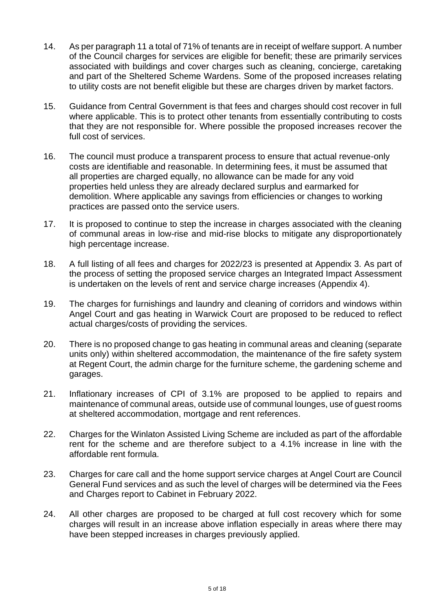- 14. As per paragraph 11 a total of 71% of tenants are in receipt of welfare support. A number of the Council charges for services are eligible for benefit; these are primarily services associated with buildings and cover charges such as cleaning, concierge, caretaking and part of the Sheltered Scheme Wardens. Some of the proposed increases relating to utility costs are not benefit eligible but these are charges driven by market factors.
- 15. Guidance from Central Government is that fees and charges should cost recover in full where applicable. This is to protect other tenants from essentially contributing to costs that they are not responsible for. Where possible the proposed increases recover the full cost of services.
- 16. The council must produce a transparent process to ensure that actual revenue-only costs are identifiable and reasonable. In determining fees, it must be assumed that all properties are charged equally, no allowance can be made for any void properties held unless they are already declared surplus and earmarked for demolition. Where applicable any savings from efficiencies or changes to working practices are passed onto the service users.
- 17. It is proposed to continue to step the increase in charges associated with the cleaning of communal areas in low-rise and mid-rise blocks to mitigate any disproportionately high percentage increase.
- 18. A full listing of all fees and charges for 2022/23 is presented at Appendix 3. As part of the process of setting the proposed service charges an Integrated Impact Assessment is undertaken on the levels of rent and service charge increases (Appendix 4).
- 19. The charges for furnishings and laundry and cleaning of corridors and windows within Angel Court and gas heating in Warwick Court are proposed to be reduced to reflect actual charges/costs of providing the services.
- 20. There is no proposed change to gas heating in communal areas and cleaning (separate units only) within sheltered accommodation, the maintenance of the fire safety system at Regent Court, the admin charge for the furniture scheme, the gardening scheme and garages.
- 21. Inflationary increases of CPI of 3.1% are proposed to be applied to repairs and maintenance of communal areas, outside use of communal lounges, use of guest rooms at sheltered accommodation, mortgage and rent references.
- 22. Charges for the Winlaton Assisted Living Scheme are included as part of the affordable rent for the scheme and are therefore subject to a 4.1% increase in line with the affordable rent formula.
- 23. Charges for care call and the home support service charges at Angel Court are Council General Fund services and as such the level of charges will be determined via the Fees and Charges report to Cabinet in February 2022.
- 24. All other charges are proposed to be charged at full cost recovery which for some charges will result in an increase above inflation especially in areas where there may have been stepped increases in charges previously applied.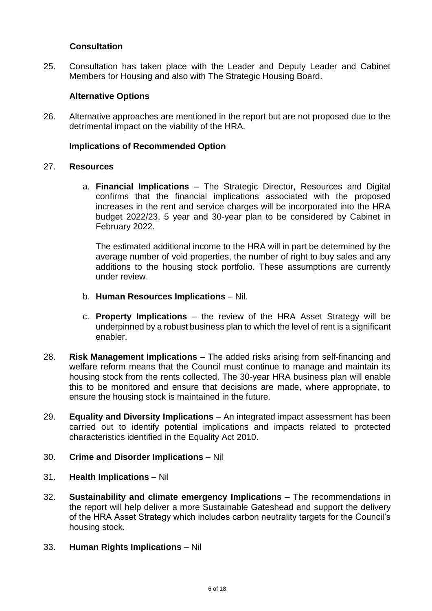#### **Consultation**

25. Consultation has taken place with the Leader and Deputy Leader and Cabinet Members for Housing and also with The Strategic Housing Board.

#### **Alternative Options**

26. Alternative approaches are mentioned in the report but are not proposed due to the detrimental impact on the viability of the HRA.

#### **Implications of Recommended Option**

#### 27. **Resources**

a. **Financial Implications** – The Strategic Director, Resources and Digital confirms that the financial implications associated with the proposed increases in the rent and service charges will be incorporated into the HRA budget 2022/23, 5 year and 30-year plan to be considered by Cabinet in February 2022.

The estimated additional income to the HRA will in part be determined by the average number of void properties, the number of right to buy sales and any additions to the housing stock portfolio. These assumptions are currently under review.

- b. **Human Resources Implications** Nil.
- c. **Property Implications** the review of the HRA Asset Strategy will be underpinned by a robust business plan to which the level of rent is a significant enabler.
- 28. **Risk Management Implications**  The added risks arising from self-financing and welfare reform means that the Council must continue to manage and maintain its housing stock from the rents collected. The 30-year HRA business plan will enable this to be monitored and ensure that decisions are made, where appropriate, to ensure the housing stock is maintained in the future.
- 29. **Equality and Diversity Implications**  An integrated impact assessment has been carried out to identify potential implications and impacts related to protected characteristics identified in the Equality Act 2010.
- 30. **Crime and Disorder Implications**  Nil
- 31. **Health Implications**  Nil
- 32. **Sustainability and climate emergency Implications**  The recommendations in the report will help deliver a more Sustainable Gateshead and support the delivery of the HRA Asset Strategy which includes carbon neutrality targets for the Council's housing stock.
- 33. **Human Rights Implications**  Nil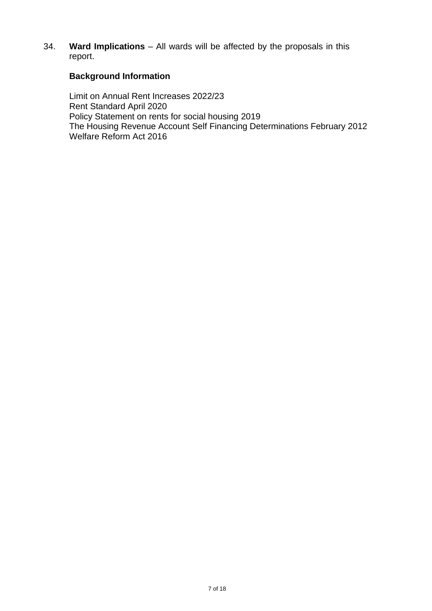34. **Ward Implications** – All wards will be affected by the proposals in this report.

### **Background Information**

Limit on Annual Rent Increases 2022/23 Rent Standard April 2020 Policy Statement on rents for social housing 2019 The Housing Revenue Account Self Financing Determinations February 2012 Welfare Reform Act 2016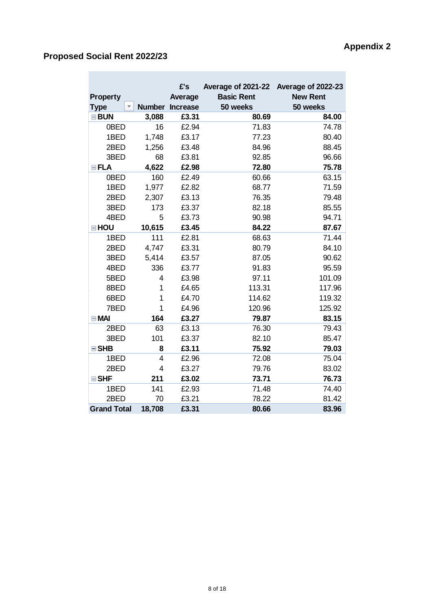# **Proposed Social Rent 2022/23**

| <b>Property</b><br><b>Type</b> | <b>Number</b>  | £'s<br>Average<br><b>Increase</b> | <b>Basic Rent</b><br>50 weeks | Average of 2021-22 Average of 2022-23<br><b>New Rent</b><br>50 weeks |
|--------------------------------|----------------|-----------------------------------|-------------------------------|----------------------------------------------------------------------|
| <b>BBUN</b>                    | 3,088          | £3.31                             | 80.69                         | 84.00                                                                |
| 0BED                           | 16             | £2.94                             | 71.83                         | 74.78                                                                |
| 1BED                           | 1,748          | £3.17                             | 77.23                         | 80.40                                                                |
| 2BED                           | 1,256          | £3.48                             | 84.96                         | 88.45                                                                |
| 3BED                           | 68             | £3.81                             | 92.85                         | 96.66                                                                |
| <b>EFLA</b>                    | 4,622          | £2.98                             | 72.80                         | 75.78                                                                |
| 0BED                           | 160            | £2.49                             | 60.66                         | 63.15                                                                |
| 1BED                           | 1,977          | £2.82                             | 68.77                         | 71.59                                                                |
| 2BED                           | 2,307          | £3.13                             | 76.35                         | 79.48                                                                |
| 3BED                           | 173            | £3.37                             | 82.18                         | 85.55                                                                |
| 4BED                           | 5              | £3.73                             | 90.98                         | 94.71                                                                |
| <b>EHOU</b>                    | 10,615         | £3.45                             | 84.22                         | 87.67                                                                |
| 1BED                           | 111            | £2.81                             | 68.63                         | 71.44                                                                |
| 2BED                           | 4,747          | £3.31                             | 80.79                         | 84.10                                                                |
| 3BED                           | 5,414          | £3.57                             | 87.05                         | 90.62                                                                |
| 4BED                           | 336            | £3.77                             | 91.83                         | 95.59                                                                |
| 5BED                           | 4              | £3.98                             | 97.11                         | 101.09                                                               |
| 8BED                           | 1              | £4.65                             | 113.31                        | 117.96                                                               |
| 6BED                           | 1              | £4.70                             | 114.62                        | 119.32                                                               |
| 7BED                           | 1              | £4.96                             | 120.96                        | 125.92                                                               |
| <b>EMAI</b>                    | 164            | £3.27                             | 79.87                         | 83.15                                                                |
| 2BED                           | 63             | £3.13                             | 76.30                         | 79.43                                                                |
| 3BED                           | 101            | £3.37                             | 82.10                         | 85.47                                                                |
| <b>ESHB</b>                    | 8              | £3.11                             | 75.92                         | 79.03                                                                |
| 1BED                           | $\overline{4}$ | £2.96                             | 72.08                         | 75.04                                                                |
| 2BED                           | $\overline{4}$ | £3.27                             | 79.76                         | 83.02                                                                |
| <b>EISHF</b>                   | 211            | £3.02                             | 73.71                         | 76.73                                                                |
| 1BED                           | 141            | £2.93                             | 71.48                         | 74.40                                                                |
| 2BED                           | 70             | £3.21                             | 78.22                         | 81.42                                                                |
| <b>Grand Total</b>             | 18,708         | £3.31                             | 80.66                         | 83.96                                                                |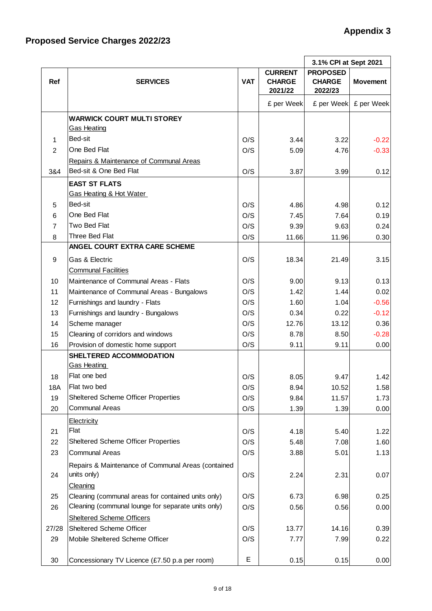|                |                                                    |            |                                            | 3.1% CPI at Sept 2021                       |                       |
|----------------|----------------------------------------------------|------------|--------------------------------------------|---------------------------------------------|-----------------------|
| Ref            | <b>SERVICES</b>                                    | <b>VAT</b> | <b>CURRENT</b><br><b>CHARGE</b><br>2021/22 | <b>PROPOSED</b><br><b>CHARGE</b><br>2022/23 | <b>Movement</b>       |
|                |                                                    |            | £ per Week                                 |                                             | £ per Week £ per Week |
|                | <b>WARWICK COURT MULTI STOREY</b>                  |            |                                            |                                             |                       |
|                | <b>Gas Heating</b>                                 |            |                                            |                                             |                       |
| 1              | Bed-sit                                            | O/S        | 3.44                                       | 3.22                                        | $-0.22$               |
| 2              | One Bed Flat                                       | O/S        | 5.09                                       | 4.76                                        | $-0.33$               |
|                | Repairs & Maintenance of Communal Areas            |            |                                            |                                             |                       |
| 3&4            | Bed-sit & One Bed Flat                             | O/S        | 3.87                                       | 3.99                                        | 0.12                  |
|                | <b>EAST ST FLATS</b>                               |            |                                            |                                             |                       |
|                | Gas Heating & Hot Water                            |            |                                            |                                             |                       |
| 5              | Bed-sit                                            | O/S        | 4.86                                       | 4.98                                        | 0.12                  |
| 6              | One Bed Flat                                       | O/S        | 7.45                                       | 7.64                                        | 0.19                  |
| $\overline{7}$ | Two Bed Flat                                       | O/S        | 9.39                                       | 9.63                                        | 0.24                  |
| 8              | Three Bed Flat                                     | O/S        | 11.66                                      | 11.96                                       | 0.30                  |
|                | ANGEL COURT EXTRA CARE SCHEME                      |            |                                            |                                             |                       |
| 9              | Gas & Electric                                     | O/S        | 18.34                                      | 21.49                                       | 3.15                  |
|                | <b>Communal Facilities</b>                         |            |                                            |                                             |                       |
| 10             | Maintenance of Communal Areas - Flats              | O/S        | 9.00                                       | 9.13                                        | 0.13                  |
| 11             | Maintenance of Communal Areas - Bungalows          | O/S        | 1.42                                       | 1.44                                        | 0.02                  |
| 12             | Furnishings and laundry - Flats                    | O/S        | 1.60                                       | 1.04                                        | $-0.56$               |
| 13             | Furnishings and laundry - Bungalows                | O/S        | 0.34                                       | 0.22                                        | $-0.12$               |
| 14             | Scheme manager                                     | O/S        | 12.76                                      | 13.12                                       | 0.36                  |
| 15             | Cleaning of corridors and windows                  | O/S        | 8.78                                       | 8.50                                        | $-0.28$               |
| 16             | Provision of domestic home support                 | O/S        | 9.11                                       | 9.11                                        | 0.00                  |
|                | SHELTERED ACCOMMODATION                            |            |                                            |                                             |                       |
|                | <b>Gas Heating</b>                                 |            |                                            |                                             |                       |
| 18             | Flat one bed                                       | O/S        | 8.05                                       | 9.47                                        | 1.42                  |
| <b>18A</b>     | Flat two bed                                       | O/S        | 8.94                                       | 10.52                                       | 1.58                  |
| 19             | Sheltered Scheme Officer Properties                | O/S        | 9.84                                       | 11.57                                       | 1.73                  |
| 20             | Communal Areas                                     | O/S        | 1.39                                       | 1.39                                        | 0.00                  |
|                | Electricity                                        |            |                                            |                                             |                       |
| 21             | Flat                                               | O/S        | 4.18                                       | 5.40                                        | 1.22                  |
| 22             | <b>Sheltered Scheme Officer Properties</b>         | O/S        | 5.48                                       | 7.08                                        | 1.60                  |
| 23             | <b>Communal Areas</b>                              | O/S        | 3.88                                       | 5.01                                        | 1.13                  |
|                | Repairs & Maintenance of Communal Areas (contained |            |                                            |                                             |                       |
| 24             | units only)                                        | O/S        | 2.24                                       | 2.31                                        | 0.07                  |
|                | Cleaning                                           |            |                                            |                                             |                       |
| 25             | Cleaning (communal areas for contained units only) | O/S        | 6.73                                       | 6.98                                        | 0.25                  |
| 26             | Cleaning (communal lounge for separate units only) | O/S        | 0.56                                       | 0.56                                        | 0.00                  |
|                | <b>Sheltered Scheme Officers</b>                   |            |                                            |                                             |                       |
| 27/28          | Sheltered Scheme Officer                           | O/S        | 13.77                                      | 14.16                                       | 0.39                  |
| 29             | Mobile Sheltered Scheme Officer                    | O/S        | 7.77                                       | 7.99                                        | 0.22                  |
|                |                                                    |            |                                            |                                             |                       |
| 30             | Concessionary TV Licence (£7.50 p.a per room)      | Е          | 0.15                                       | 0.15                                        | 0.00                  |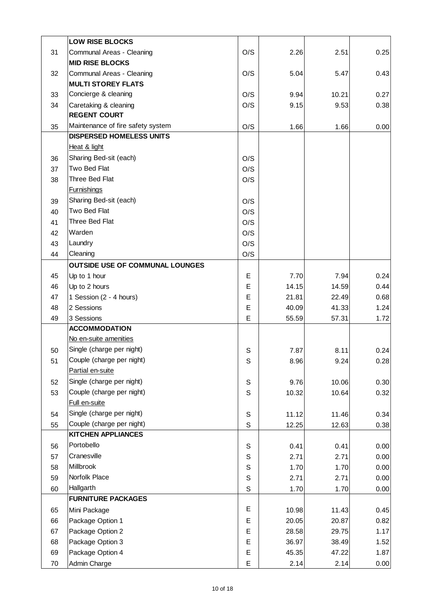| O/S<br>31<br>Communal Areas - Cleaning<br>2.26<br>2.51           | 0.25 |
|------------------------------------------------------------------|------|
|                                                                  |      |
| <b>MID RISE BLOCKS</b>                                           |      |
| O/S<br>32<br>Communal Areas - Cleaning<br>5.04<br>5.47           | 0.43 |
| <b>MULTI STOREY FLATS</b>                                        |      |
| Concierge & cleaning<br>O/S<br>33<br>9.94<br>10.21               | 0.27 |
| O/S<br>34<br>9.15<br>9.53<br>Caretaking & cleaning               | 0.38 |
| <b>REGENT COURT</b>                                              |      |
| Maintenance of fire safety system<br>O/S<br>35<br>1.66<br>1.66   | 0.00 |
| <b>DISPERSED HOMELESS UNITS</b>                                  |      |
| Heat & light                                                     |      |
| Sharing Bed-sit (each)<br>O/S<br>36                              |      |
| Two Bed Flat<br>O/S<br>37                                        |      |
| Three Bed Flat<br>O/S<br>38                                      |      |
| <b>Furnishings</b>                                               |      |
| Sharing Bed-sit (each)<br>O/S<br>39                              |      |
| Two Bed Flat<br>O/S<br>40                                        |      |
| Three Bed Flat<br>O/S<br>41                                      |      |
| Warden<br>O/S<br>42                                              |      |
| Laundry<br>O/S<br>43                                             |      |
| Cleaning<br>O/S<br>44                                            |      |
| <b>OUTSIDE USE OF COMMUNAL LOUNGES</b>                           |      |
| Up to 1 hour<br>E<br>7.70<br>7.94<br>45                          | 0.24 |
| E<br>Up to 2 hours<br>14.15<br>14.59<br>46                       | 0.44 |
| E<br>1 Session (2 - 4 hours)<br>47<br>21.81<br>22.49             | 0.68 |
| E<br>48<br>2 Sessions<br>40.09<br>41.33                          | 1.24 |
| E<br>49<br>3 Sessions<br>55.59<br>57.31                          | 1.72 |
| <b>ACCOMMODATION</b>                                             |      |
| No en-suite amenities                                            |      |
| Single (charge per night)<br>S<br>7.87<br>8.11<br>50             | 0.24 |
| Couple (charge per night)<br>S<br>51<br>8.96<br>9.24             | 0.28 |
| Partial en-suite                                                 |      |
| Single (charge per night)<br>52<br>S<br>9.76<br>10.06            | 0.30 |
| Couple (charge per night)<br>$\mathbf S$<br>53<br>10.64<br>10.32 | 0.32 |
| Full en-suite                                                    |      |
| Single (charge per night)<br>$\mathbf S$<br>54<br>11.12<br>11.46 | 0.34 |
| Couple (charge per night)<br>$\mathbf S$<br>55<br>12.25<br>12.63 | 0.38 |
| <b>KITCHEN APPLIANCES</b>                                        |      |
| Portobello<br>$\mathbf S$<br>56<br>0.41<br>0.41                  | 0.00 |
| Cranesville<br>$\mathbf S$<br>2.71<br>57<br>2.71                 | 0.00 |
| Millbrook<br>$\mathbb S$<br>58<br>1.70<br>1.70                   | 0.00 |
| Norfolk Place<br>$\mathbb S$<br>59<br>2.71<br>2.71               | 0.00 |
| Hallgarth<br>$\mathbf S$<br>60<br>1.70<br>1.70                   | 0.00 |
| <b>FURNITURE PACKAGES</b>                                        |      |
| E<br>Mini Package<br>10.98<br>11.43<br>65                        | 0.45 |
| Package Option 1<br>E<br>66<br>20.05<br>20.87                    | 0.82 |
| E<br>67<br>Package Option 2<br>28.58<br>29.75                    | 1.17 |
| Package Option 3<br>E<br>36.97<br>38.49<br>68                    | 1.52 |
| E<br>Package Option 4<br>45.35<br>69<br>47.22                    | 1.87 |
| E<br>70<br>Admin Charge<br>2.14<br>2.14                          | 0.00 |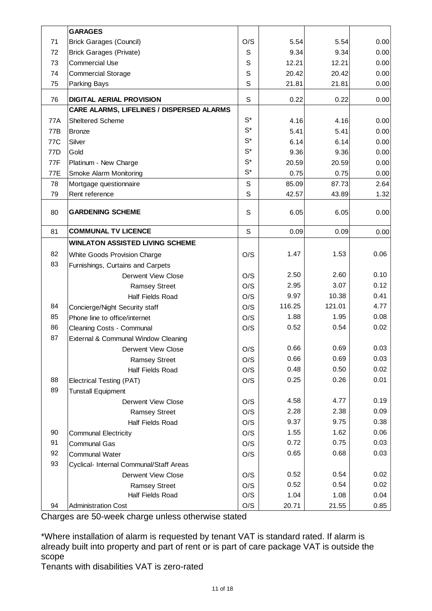|     | <b>GARAGES</b>                            |                      |        |        |      |
|-----|-------------------------------------------|----------------------|--------|--------|------|
| 71  | <b>Brick Garages (Council)</b>            | O/S                  | 5.54   | 5.54   | 0.00 |
| 72  | <b>Brick Garages (Private)</b>            | S                    | 9.34   | 9.34   | 0.00 |
| 73  | <b>Commercial Use</b>                     | S                    | 12.21  | 12.21  | 0.00 |
| 74  | <b>Commercial Storage</b>                 | S                    | 20.42  | 20.42  | 0.00 |
| 75  | Parking Bays                              | S                    | 21.81  | 21.81  | 0.00 |
| 76  | <b>DIGITAL AERIAL PROVISION</b>           | S                    | 0.22   | 0.22   | 0.00 |
|     | CARE ALARMS, LIFELINES / DISPERSED ALARMS |                      |        |        |      |
| 77A | <b>Sheltered Scheme</b>                   | $S^*$                | 4.16   | 4.16   | 0.00 |
| 77B | <b>Bronze</b>                             | $\mathsf{S}^*$       | 5.41   | 5.41   | 0.00 |
| 77C | Silver                                    | $\mathsf{S}^*$       | 6.14   | 6.14   | 0.00 |
| 77D | Gold                                      | $\mathsf{S}^*$       | 9.36   | 9.36   | 0.00 |
| 77F | Platinum - New Charge                     | $\mathsf{S}^*$       | 20.59  | 20.59  | 0.00 |
| 77E | Smoke Alarm Monitoring                    | $\mathsf{S}^{\star}$ | 0.75   | 0.75   | 0.00 |
| 78  | Mortgage questionnaire                    | $\mathbf S$          | 85.09  | 87.73  | 2.64 |
| 79  | Rent reference                            | S                    | 42.57  | 43.89  | 1.32 |
| 80  | <b>GARDENING SCHEME</b>                   | S                    | 6.05   | 6.05   | 0.00 |
| 81  | <b>COMMUNAL TV LICENCE</b>                | $\mathbf S$          | 0.09   | 0.09   | 0.00 |
|     | <b>WINLATON ASSISTED LIVING SCHEME</b>    |                      |        |        |      |
| 82  | White Goods Provision Charge              | O/S                  | 1.47   | 1.53   | 0.06 |
| 83  | Furnishings, Curtains and Carpets         |                      |        |        |      |
|     | <b>Derwent View Close</b>                 | O/S                  | 2.50   | 2.60   | 0.10 |
|     | <b>Ramsey Street</b>                      | O/S                  | 2.95   | 3.07   | 0.12 |
|     | Half Fields Road                          | O/S                  | 9.97   | 10.38  | 0.41 |
| 84  | Concierge/Night Security staff            | O/S                  | 116.25 | 121.01 | 4.77 |
| 85  | Phone line to office/internet             | O/S                  | 1.88   | 1.95   | 0.08 |
| 86  | Cleaning Costs - Communal                 | O/S                  | 0.52   | 0.54   | 0.02 |
| 87  | External & Communal Window Cleaning       |                      |        |        |      |
|     | Derwent View Close                        | O/S                  | 0.66   | 0.69   | 0.03 |
|     | <b>Ramsey Street</b>                      | O/S                  | 0.66   | 0.69   | 0.03 |
|     | Half Fields Road                          | O/S                  | 0.48   | 0.50   | 0.02 |
| 88  | <b>Electrical Testing (PAT)</b>           | O/S                  | 0.25   | 0.26   | 0.01 |
| 89  | <b>Tunstall Equipment</b>                 |                      |        |        |      |
|     | Derwent View Close                        | O/S                  | 4.58   | 4.77   | 0.19 |
|     | <b>Ramsey Street</b>                      | O/S                  | 2.28   | 2.38   | 0.09 |
|     | <b>Half Fields Road</b>                   | O/S                  | 9.37   | 9.75   | 0.38 |
| 90  | <b>Communal Electricity</b>               | O/S                  | 1.55   | 1.62   | 0.06 |
| 91  | Communal Gas                              | O/S                  | 0.72   | 0.75   | 0.03 |
| 92  | <b>Communal Water</b>                     | O/S                  | 0.65   | 0.68   | 0.03 |
| 93  | Cyclical- Internal Communal/Staff Areas   |                      |        |        |      |
|     | <b>Derwent View Close</b>                 | O/S                  | 0.52   | 0.54   | 0.02 |
|     | <b>Ramsey Street</b>                      | O/S                  | 0.52   | 0.54   | 0.02 |
|     | Half Fields Road                          | O/S                  | 1.04   | 1.08   | 0.04 |
| 94  | <b>Administration Cost</b>                | O/S                  | 20.71  | 21.55  | 0.85 |

Charges are 50-week charge unless otherwise stated

\*Where installation of alarm is requested by tenant VAT is standard rated. If alarm is already built into property and part of rent or is part of care package VAT is outside the scope

Tenants with disabilities VAT is zero-rated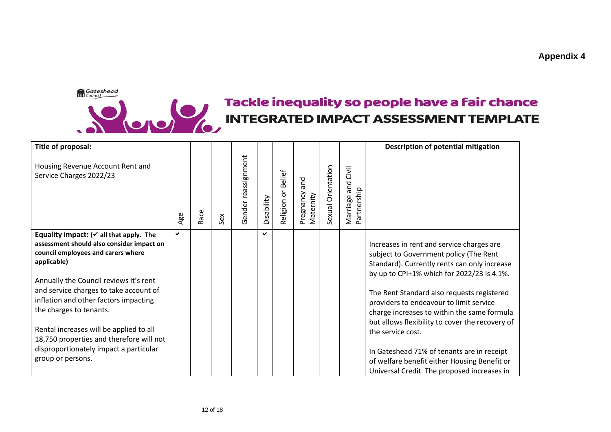

# Tackle inequality so people have a fair chance<br>INTEGRATED IMPACT ASSESSMENT TEMPLATE

| Title of proposal:                                                                                                                                                                                                                                                                                                                                                                                                                                                  |     |      |     |                          |           |                             |                               |                    |                                         | <b>Description of potential mitigation</b>                                                                                                                                                                                                                                                                                                                                                                                                                                                                                                     |
|---------------------------------------------------------------------------------------------------------------------------------------------------------------------------------------------------------------------------------------------------------------------------------------------------------------------------------------------------------------------------------------------------------------------------------------------------------------------|-----|------|-----|--------------------------|-----------|-----------------------------|-------------------------------|--------------------|-----------------------------------------|------------------------------------------------------------------------------------------------------------------------------------------------------------------------------------------------------------------------------------------------------------------------------------------------------------------------------------------------------------------------------------------------------------------------------------------------------------------------------------------------------------------------------------------------|
| Housing Revenue Account Rent and<br>Service Charges 2022/23                                                                                                                                                                                                                                                                                                                                                                                                         | Age | Race | Sex | reassignment<br>Gender i | Vilidesic | <b>Belief</b><br>eligion or | and<br>Pregnancy<br>Maternity | Sexual Orientation | Civil<br>and<br>Partnership<br>Marriage |                                                                                                                                                                                                                                                                                                                                                                                                                                                                                                                                                |
| Equality impact: $(\checkmark)$ all that apply. The<br>assessment should also consider impact on<br>council employees and carers where<br>applicable)<br>Annually the Council reviews it's rent<br>and service charges to take account of<br>inflation and other factors impacting<br>the charges to tenants.<br>Rental increases will be applied to all<br>18,750 properties and therefore will not<br>disproportionately impact a particular<br>group or persons. | ✔   |      |     |                          | ✓         |                             |                               |                    |                                         | Increases in rent and service charges are<br>subject to Government policy (The Rent<br>Standard). Currently rents can only increase<br>by up to CPI+1% which for 2022/23 is 4.1%.<br>The Rent Standard also requests registered<br>providers to endeavour to limit service<br>charge increases to within the same formula<br>but allows flexibility to cover the recovery of<br>the service cost.<br>In Gateshead 71% of tenants are in receipt<br>of welfare benefit either Housing Benefit or<br>Universal Credit. The proposed increases in |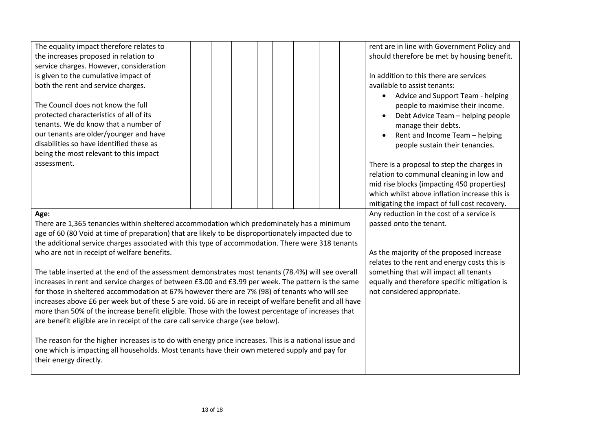| The equality impact therefore relates to<br>the increases proposed in relation to<br>service charges. However, consideration<br>is given to the cumulative impact of<br>both the rent and service charges.<br>The Council does not know the full<br>protected characteristics of all of its<br>tenants. We do know that a number of<br>our tenants are older/younger and have<br>disabilities so have identified these as<br>being the most relevant to this impact<br>assessment.                                                                                                                                                                                                                                                                                                                                                                                                                                                                                                                                                                                                                                                                                                                                  |                                                                                                                                                                                                                                                                                           |  | rent are in line with Government Policy and<br>should therefore be met by housing benefit.<br>In addition to this there are services<br>available to assist tenants:<br>Advice and Support Team - helping<br>people to maximise their income.<br>Debt Advice Team - helping people<br>$\bullet$<br>manage their debts.<br>Rent and Income Team - helping<br>$\bullet$<br>people sustain their tenancies.<br>There is a proposal to step the charges in<br>relation to communal cleaning in low and<br>mid rise blocks (impacting 450 properties)<br>which whilst above inflation increase this is<br>mitigating the impact of full cost recovery. |
|---------------------------------------------------------------------------------------------------------------------------------------------------------------------------------------------------------------------------------------------------------------------------------------------------------------------------------------------------------------------------------------------------------------------------------------------------------------------------------------------------------------------------------------------------------------------------------------------------------------------------------------------------------------------------------------------------------------------------------------------------------------------------------------------------------------------------------------------------------------------------------------------------------------------------------------------------------------------------------------------------------------------------------------------------------------------------------------------------------------------------------------------------------------------------------------------------------------------|-------------------------------------------------------------------------------------------------------------------------------------------------------------------------------------------------------------------------------------------------------------------------------------------|--|---------------------------------------------------------------------------------------------------------------------------------------------------------------------------------------------------------------------------------------------------------------------------------------------------------------------------------------------------------------------------------------------------------------------------------------------------------------------------------------------------------------------------------------------------------------------------------------------------------------------------------------------------|
| Age:<br>There are 1,365 tenancies within sheltered accommodation which predominately has a minimum<br>age of 60 (80 Void at time of preparation) that are likely to be disproportionately impacted due to<br>the additional service charges associated with this type of accommodation. There were 318 tenants<br>who are not in receipt of welfare benefits.<br>The table inserted at the end of the assessment demonstrates most tenants (78.4%) will see overall<br>increases in rent and service charges of between £3.00 and £3.99 per week. The pattern is the same<br>for those in sheltered accommodation at 67% however there are 7% (98) of tenants who will see<br>increases above £6 per week but of these 5 are void. 66 are in receipt of welfare benefit and all have<br>more than 50% of the increase benefit eligible. Those with the lowest percentage of increases that<br>are benefit eligible are in receipt of the care call service charge (see below).<br>The reason for the higher increases is to do with energy price increases. This is a national issue and<br>one which is impacting all households. Most tenants have their own metered supply and pay for<br>their energy directly. | Any reduction in the cost of a service is<br>passed onto the tenant.<br>As the majority of the proposed increase<br>relates to the rent and energy costs this is<br>something that will impact all tenants<br>equally and therefore specific mitigation is<br>not considered appropriate. |  |                                                                                                                                                                                                                                                                                                                                                                                                                                                                                                                                                                                                                                                   |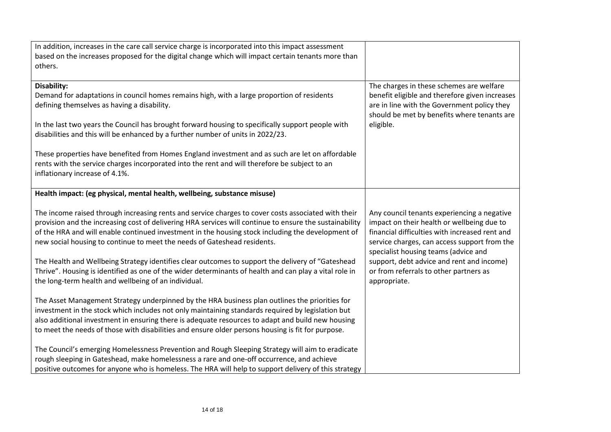| In addition, increases in the care call service charge is incorporated into this impact assessment<br>based on the increases proposed for the digital change which will impact certain tenants more than<br>others.                                                                                                                                                                                                                                                                                                                                                                                                                                                    |                                                                                                                                                                                                                                                                                                                                            |
|------------------------------------------------------------------------------------------------------------------------------------------------------------------------------------------------------------------------------------------------------------------------------------------------------------------------------------------------------------------------------------------------------------------------------------------------------------------------------------------------------------------------------------------------------------------------------------------------------------------------------------------------------------------------|--------------------------------------------------------------------------------------------------------------------------------------------------------------------------------------------------------------------------------------------------------------------------------------------------------------------------------------------|
| Disability:<br>Demand for adaptations in council homes remains high, with a large proportion of residents<br>defining themselves as having a disability.<br>In the last two years the Council has brought forward housing to specifically support people with<br>disabilities and this will be enhanced by a further number of units in 2022/23.<br>These properties have benefited from Homes England investment and as such are let on affordable<br>rents with the service charges incorporated into the rent and will therefore be subject to an<br>inflationary increase of 4.1%.                                                                                 | The charges in these schemes are welfare<br>benefit eligible and therefore given increases<br>are in line with the Government policy they<br>should be met by benefits where tenants are<br>eligible.                                                                                                                                      |
| Health impact: (eg physical, mental health, wellbeing, substance misuse)                                                                                                                                                                                                                                                                                                                                                                                                                                                                                                                                                                                               |                                                                                                                                                                                                                                                                                                                                            |
| The income raised through increasing rents and service charges to cover costs associated with their<br>provision and the increasing cost of delivering HRA services will continue to ensure the sustainability<br>of the HRA and will enable continued investment in the housing stock including the development of<br>new social housing to continue to meet the needs of Gateshead residents.<br>The Health and Wellbeing Strategy identifies clear outcomes to support the delivery of "Gateshead<br>Thrive". Housing is identified as one of the wider determinants of health and can play a vital role in<br>the long-term health and wellbeing of an individual. | Any council tenants experiencing a negative<br>impact on their health or wellbeing due to<br>financial difficulties with increased rent and<br>service charges, can access support from the<br>specialist housing teams (advice and<br>support, debt advice and rent and income)<br>or from referrals to other partners as<br>appropriate. |
| The Asset Management Strategy underpinned by the HRA business plan outlines the priorities for<br>investment in the stock which includes not only maintaining standards required by legislation but<br>also additional investment in ensuring there is adequate resources to adapt and build new housing<br>to meet the needs of those with disabilities and ensure older persons housing is fit for purpose.                                                                                                                                                                                                                                                          |                                                                                                                                                                                                                                                                                                                                            |
| The Council's emerging Homelessness Prevention and Rough Sleeping Strategy will aim to eradicate<br>rough sleeping in Gateshead, make homelessness a rare and one-off occurrence, and achieve<br>positive outcomes for anyone who is homeless. The HRA will help to support delivery of this strategy                                                                                                                                                                                                                                                                                                                                                                  |                                                                                                                                                                                                                                                                                                                                            |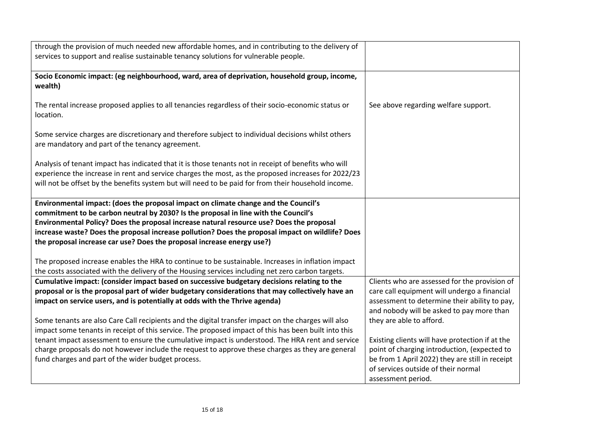| through the provision of much needed new affordable homes, and in contributing to the delivery of<br>services to support and realise sustainable tenancy solutions for vulnerable people.                                                                                                                                                                                                                                                                                                     |                                                                                                                                                                                                                         |
|-----------------------------------------------------------------------------------------------------------------------------------------------------------------------------------------------------------------------------------------------------------------------------------------------------------------------------------------------------------------------------------------------------------------------------------------------------------------------------------------------|-------------------------------------------------------------------------------------------------------------------------------------------------------------------------------------------------------------------------|
| Socio Economic impact: (eg neighbourhood, ward, area of deprivation, household group, income,<br>wealth)                                                                                                                                                                                                                                                                                                                                                                                      |                                                                                                                                                                                                                         |
| The rental increase proposed applies to all tenancies regardless of their socio-economic status or<br>location.                                                                                                                                                                                                                                                                                                                                                                               | See above regarding welfare support.                                                                                                                                                                                    |
| Some service charges are discretionary and therefore subject to individual decisions whilst others<br>are mandatory and part of the tenancy agreement.                                                                                                                                                                                                                                                                                                                                        |                                                                                                                                                                                                                         |
| Analysis of tenant impact has indicated that it is those tenants not in receipt of benefits who will<br>experience the increase in rent and service charges the most, as the proposed increases for 2022/23<br>will not be offset by the benefits system but will need to be paid for from their household income.                                                                                                                                                                            |                                                                                                                                                                                                                         |
| Environmental impact: (does the proposal impact on climate change and the Council's<br>commitment to be carbon neutral by 2030? Is the proposal in line with the Council's<br>Environmental Policy? Does the proposal increase natural resource use? Does the proposal<br>increase waste? Does the proposal increase pollution? Does the proposal impact on wildlife? Does<br>the proposal increase car use? Does the proposal increase energy use?)                                          |                                                                                                                                                                                                                         |
| The proposed increase enables the HRA to continue to be sustainable. Increases in inflation impact<br>the costs associated with the delivery of the Housing services including net zero carbon targets.                                                                                                                                                                                                                                                                                       |                                                                                                                                                                                                                         |
| Cumulative impact: (consider impact based on successive budgetary decisions relating to the<br>proposal or is the proposal part of wider budgetary considerations that may collectively have an<br>impact on service users, and is potentially at odds with the Thrive agenda)<br>Some tenants are also Care Call recipients and the digital transfer impact on the charges will also<br>impact some tenants in receipt of this service. The proposed impact of this has been built into this | Clients who are assessed for the provision of<br>care call equipment will undergo a financial<br>assessment to determine their ability to pay,<br>and nobody will be asked to pay more than<br>they are able to afford. |
| tenant impact assessment to ensure the cumulative impact is understood. The HRA rent and service<br>charge proposals do not however include the request to approve these charges as they are general<br>fund charges and part of the wider budget process.                                                                                                                                                                                                                                    | Existing clients will have protection if at the<br>point of charging introduction, (expected to<br>be from 1 April 2022) they are still in receipt<br>of services outside of their normal<br>assessment period.         |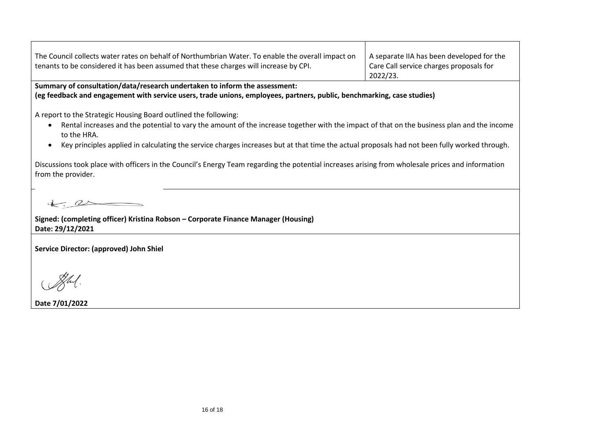| The Council collects water rates on behalf of Northumbrian Water. To enable the overall impact on | A separate IIA has been developed for the |
|---------------------------------------------------------------------------------------------------|-------------------------------------------|
| tenants to be considered it has been assumed that these charges will increase by CPI.             | Care Call service charges proposals for   |
|                                                                                                   | 2022/23.                                  |

**Summary of consultation/data/research undertaken to inform the assessment:**

**(eg feedback and engagement with service users, trade unions, employees, partners, public, benchmarking, case studies)**

A report to the Strategic Housing Board outlined the following:

- Rental increases and the potential to vary the amount of the increase together with the impact of that on the business plan and the income to the HRA.
- Key principles applied in calculating the service charges increases but at that time the actual proposals had not been fully worked through.

Discussions took place with officers in the Council's Energy Team regarding the potential increases arising from wholesale prices and information from the provider.

 $\downarrow$  as

**Signed: (completing officer) Kristina Robson – Corporate Finance Manager (Housing) Date: 29/12/2021**

**Service Director: (approved) John Shiel** 

**Date 7/01/2022**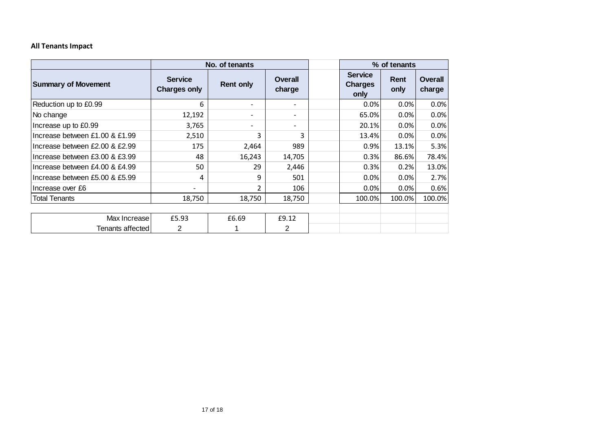#### **All Tenants Impact**

|                                |                                       | No. of tenants           |                          |                                          | % of tenants |                          |
|--------------------------------|---------------------------------------|--------------------------|--------------------------|------------------------------------------|--------------|--------------------------|
| <b>Summary of Movement</b>     | <b>Service</b><br><b>Charges only</b> | <b>Rent only</b>         | <b>Overall</b><br>charge | <b>Service</b><br><b>Charges</b><br>only | Rent<br>only | <b>Overall</b><br>charge |
| Reduction up to £0.99          | 6                                     |                          |                          | 0.0%                                     | 0.0%         | 0.0%                     |
| No change                      | 12,192                                |                          |                          | 65.0%                                    | 0.0%         | 0.0%                     |
| Increase up to £0.99           | 3,765                                 | $\overline{\phantom{0}}$ | $\overline{\phantom{0}}$ | 20.1%                                    | 0.0%         | 0.0%                     |
| Increase between £1.00 & £1.99 | 2,510                                 | 3                        | 3                        | 13.4%                                    | 0.0%         | 0.0%                     |
| Increase between £2.00 & £2.99 | 175                                   | 2,464                    | 989                      | 0.9%                                     | 13.1%        | 5.3%                     |
| Increase between £3.00 & £3.99 | 48                                    | 16,243                   | 14,705                   | 0.3%                                     | 86.6%        | 78.4%                    |
| Increase between £4.00 & £4.99 | 50                                    | 29                       | 2,446                    | 0.3%                                     | 0.2%         | 13.0%                    |
| Increase between £5.00 & £5.99 | 4                                     | 9                        | 501                      | 0.0%                                     | 0.0%         | 2.7%                     |
| Increase over £6               |                                       | 2                        | 106                      | 0.0%                                     | 0.0%         | 0.6%                     |
| <b>Total Tenants</b>           | 18,750                                | 18,750                   | 18,750                   | 100.0%                                   | 100.0%       | 100.0%                   |
|                                |                                       |                          |                          |                                          |              |                          |
| Max Increase                   | £5.93                                 | £6.69                    | £9.12                    |                                          |              |                          |
| Tenants affected               | 2                                     |                          | 2                        |                                          |              |                          |